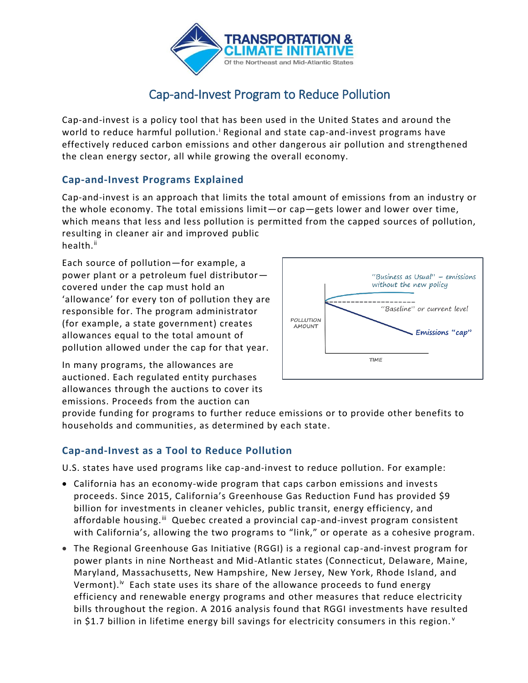

# Cap-and-Invest Program to Reduce Pollution

Cap-and-invest is a policy tool that has been used in the United States and around the world to reduce harmful pollution.<sup>i</sup> Regional and state cap-and-invest programs have effectively reduced carbon emissions and other dangerous air pollution and strengthened the clean energy sector, all while growing the overall economy.

### **Cap-and-Invest Programs Explained**

Cap-and-invest is an approach that limits the total amount of emissions from an industry or the whole economy. The total emissions limit—or cap—gets lower and lower over time, which means that less and less pollution is permitted from the capped sources of pollution, resulting in cleaner air and improved public health.<sup>ii</sup>

Each source of pollution—for example, a power plant or a petroleum fuel distributor covered under the cap must hold an 'allowance' for every ton of pollution they are responsible for. The program administrator (for example, a state government) creates allowances equal to the total amount of pollution allowed under the cap for that year.

In many programs, the allowances are auctioned. Each regulated entity purchases allowances through the auctions to cover its emissions. Proceeds from the auction can



provide funding for programs to further reduce emissions or to provide other benefits to households and communities, as determined by each state.

#### **Cap-and-Invest as a Tool to Reduce Pollution**

U.S. states have used programs like cap-and-invest to reduce pollution. For example:

- California has an economy-wide program that caps carbon emissions and invests proceeds. Since 2015, California's Greenhouse Gas Reduction Fund has provided \$9 billion for investments in cleaner vehicles, public transit, energy efficiency, and affordable housing.<sup>iii</sup> Quebec created a provincial cap-and-invest program consistent with California's, allowing the two programs to "link," or operate as a cohesive program.
- The Regional Greenhouse Gas Initiative (RGGI) is a regional cap-and-invest program for power plants in nine Northeast and Mid-Atlantic states (Connecticut, Delaware, Maine, Maryland, Massachusetts, New Hampshire, New Jersey, New York, Rhode Island, and Vermont).<sup>iv</sup> Each state uses its share of the allowance proceeds to fund energy efficiency and renewable energy programs and other measures that reduce electricity bills throughout the region. A 2016 analysis found that RGGI investments have resulted in \$1.7 billion in lifetime energy bill savings for electricity consumers in this region.<sup> $v$ </sup>